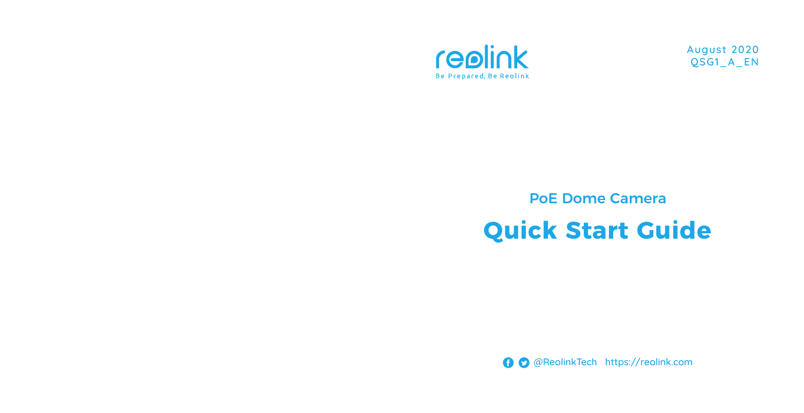

August 2020 QSG1\_A\_EN

# PoE Dome Camera **Quick Start Guide**

@ReolinkTech https://reolink.com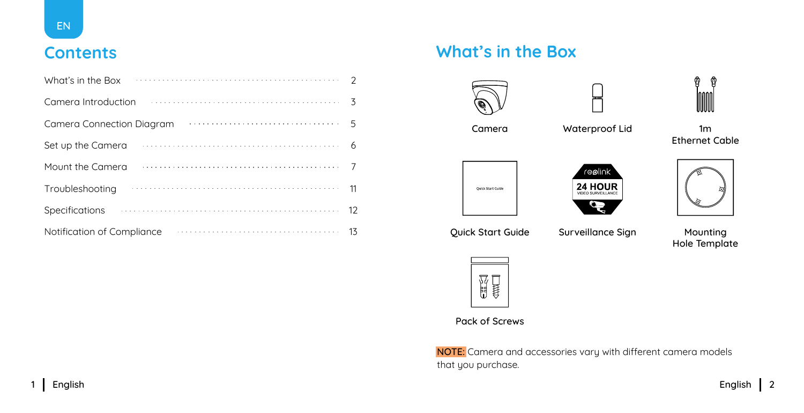| What's in the Box                                                                                      |    |
|--------------------------------------------------------------------------------------------------------|----|
| Camera Introduction                                                                                    |    |
| $\ldots \ldots \ldots \ldots \ldots \ldots \ldots \ldots \ldots \ldots 5$<br>Camera Connection Diagram |    |
| Set up the Camera                                                                                      | 6  |
| Mount the Camera                                                                                       |    |
| Troubleshooting                                                                                        | 11 |
| Specifications                                                                                         | 12 |
| Notification of Compliance                                                                             | 13 |

### **Contents What's in the Box**





Ethernet Cable



Hole Template



Pack of Screws

NOTE: Camera and accessories vary with different camera models that you purchase.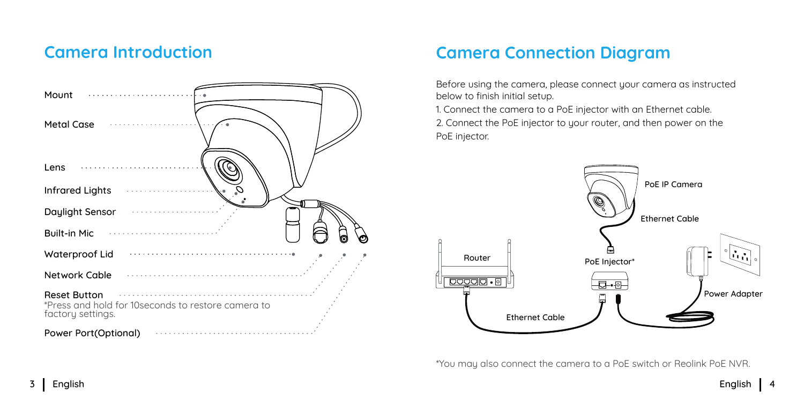### **Camera Introduction**



### **Camera Connection Diagram**

Before using the camera, please connect your camera as instructed below to finish initial setup.

1. Connect the camera to a PoE injector with an Ethernet cable.

2. Connect the PoE injector to your router, and then power on the PoE injector.



\*You may also connect the camera to a PoE switch or Reolink PoE NVR.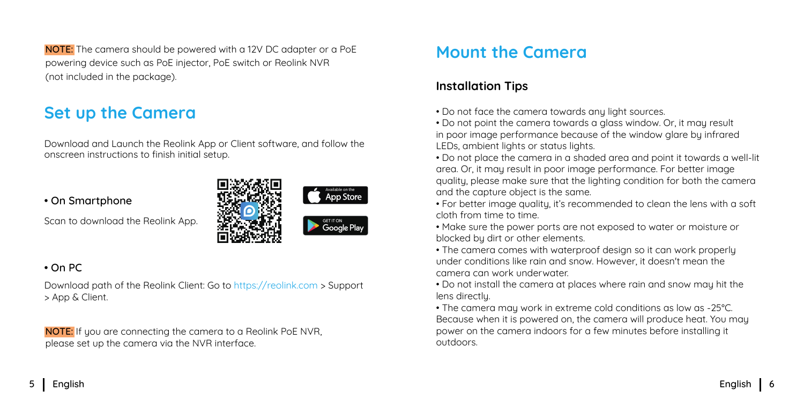NOTE: The camera should be powered with a 12V DC adapter or a PoE powering device such as PoE injector, PoE switch or Reolink NVR (not included in the package).

### **Set up the Camera**

Download and Launch the Reolink App or Client software, and follow the onscreen instructions to finish initial setup.

#### • On Smartphone

Scan to download the Reolink App.



### • On PC

Download path of the Reolink Client: Go to https://reolink.com > Support > App & Client.

NOTE: If you are connecting the camera to a Reolink PoE NVR. please set up the camera via the NVR interface.

### **Mount the Camera**

### **Installation Tips**

- Do not face the camera towards any light sources.
- Do not point the camera towards a glass window. Or, it may result in poor image performance because of the window glare by infrared LEDs, ambient lights or status lights.
- Do not place the camera in a shaded area and point it towards a well-lit area. Or, it may result in poor image performance. For better image quality, please make sure that the lighting condition for both the camera and the capture object is the same.
- For better image quality, it's recommended to clean the lens with a soft cloth from time to time.
- Make sure the power ports are not exposed to water or moisture or blocked by dirt or other elements.
- The camera comes with waterproof design so it can work properly under conditions like rain and snow. However, it doesn't mean the camera can work underwater.
- Do not install the camera at places where rain and snow may hit the lens directly.
- The camera may work in extreme cold conditions as low as -25°C. Because when it is powered on, the camera will produce heat. You may power on the camera indoors for a few minutes before installing it outdoors.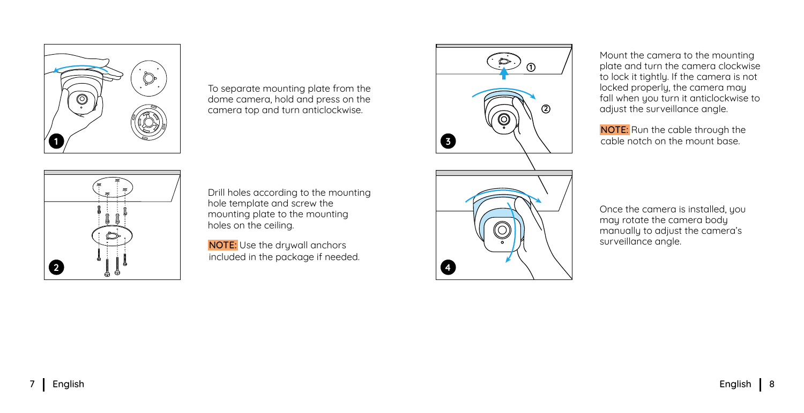**2**

Drill holes according to the mounting hole template and screw the mounting plate to the mounting holes on the ceiling.

To separate mounting plate from the dome camera, hold and press on the camera top and turn anticlockwise.

NOTE: Use the drywall anchors included in the package if needed. Mount the camera to the mounting plate and turn the camera clockwise to lock it tightly. If the camera is not locked properly, the camera may fall when you turn it anticlockwise to adjust the surveillance angle.

NOTE: Run the cable through the cable notch on the mount base.

Once the camera is installed, you may rotate the camera body manually to adjust the camera's surveillance angle.

**3**

**4**

**2**

**1**





å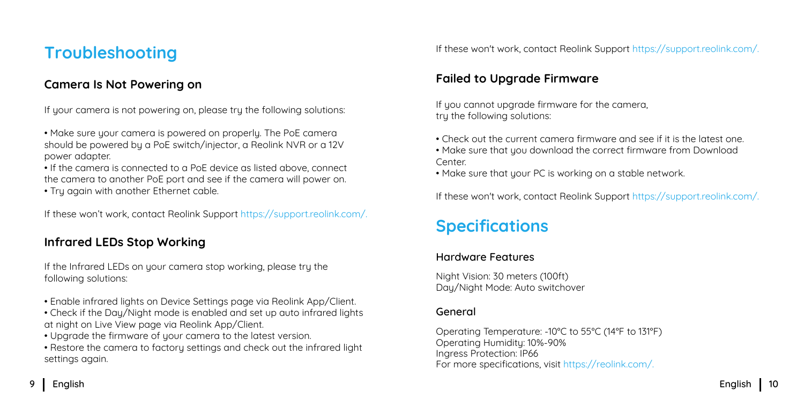### **Troubleshooting**

### **Camera Is Not Powering on**

If your camera is not powering on, please try the following solutions:

• Make sure your camera is powered on properly. The PoE camera should be powered by a PoE switch/injector, a Reolink NVR or a 12V power adapter.

• If the camera is connected to a PoE device as listed above, connect the camera to another PoE port and see if the camera will power on.

• Try again with another Ethernet cable.

If these won't work, contact Reolink Support https://support.reolink.com/.

### **Infrared LEDs Stop Working**

If the Infrared LEDs on your camera stop working, please try the following solutions:

- Enable infrared lights on Device Settings page via Reolink App/Client.
- Check if the Day/Night mode is enabled and set up auto infrared lights at night on Live View page via Reolink App/Client.
- Uparade the firmware of your camera to the latest version.
- Restore the camera to factory settings and check out the infrared light settings again.

If these won't work, contact Reolink Support https://support.reolink.com/.

### **Failed to Upgrade Firmware**

If you cannot upgrade firmware for the camera, try the following solutions:

- Check out the current camera firmware and see if it is the latest one.
- Make sure that you download the correct firmware from Download **Center**
- Make sure that your PC is working on a stable network.

If these won't work, contact Reolink Support https://support.reolink.com/.

### **Specifications**

#### Hardware Features

Night Vision: 30 meters (100ft) Day/Night Mode: Auto switchover

#### General

Operating Temperature: -10°C to 55°C (14°F to 131°F) Operating Humidity: 10%-90% Ingress Protection: IP66 For more specifications, visit https://reolink.com/.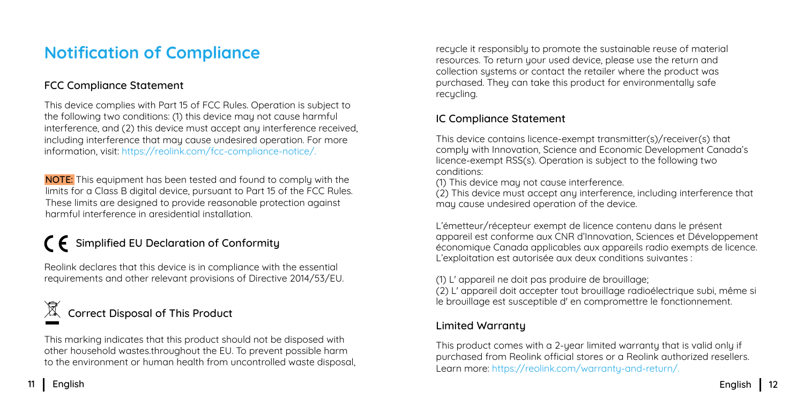### **Notification of Compliance**

### FCC Compliance Statement

This device complies with Part 15 of FCC Rules. Operation is subject to the following two conditions: (1) this device may not cause harmful interference, and (2) this device must accept any interference received, including interference that may cause undesired operation. For more information, visit: https://reolink.com/fcc-compliance-notice/.

NOTE: This equipment has been tested and found to comply with the limits for a Class B digital device, pursuant to Part 15 of the FCC Rules. These limits are designed to provide reasonable protection against harmful interference in aresidential installation.

## $\bigcap$  Simplified EU Declaration of Conformity

Reolink declares that this device is in compliance with the essential requirements and other relevant provisions of Directive 2014/53/EU.

### Correct Disposal of This Product

This marking indicates that this product should not be disposed with other household wastes.throughout the EU. To prevent possible harm to the environment or human health from uncontrolled waste disposal,

recucle it responsibly to promote the sustainable reuse of material resources. To return your used device, please use the return and collection sustems or contact the retailer where the product was purchased. They can take this product for environmentally safe recycling.

### IC Compliance Statement

This device contains licence-exempt transmitter(s)/receiver(s) that comply with Innovation, Science and Economic Development Canada's licence-exempt RSS(s). Operation is subject to the following two conditions:

(1) This device may not cause interference.

(2) This device must accept any interference, including interference that may cause undesired operation of the device.

L'émetteur/récepteur exempt de licence contenu dans le présent appareil est conforme aux CNR d'Innovation, Sciences et Développement économique Canada applicables aux appareils radio exempts de licence. L'exploitation est autorisée aux deux conditions suivantes :

(1) L' appareil ne doit pas produire de brouillage;

(2) L' appareil doit accepter tout brouillage radioélectrique subi, même si le brouillage est susceptible d' en compromettre le fonctionnement.

#### Limited Warranty

This product comes with a 2-year limited warranty that is valid only if purchased from Reolink official stores or a Reolink authorized resellers. Learn more: https://reolink.com/warranty-and-return/.